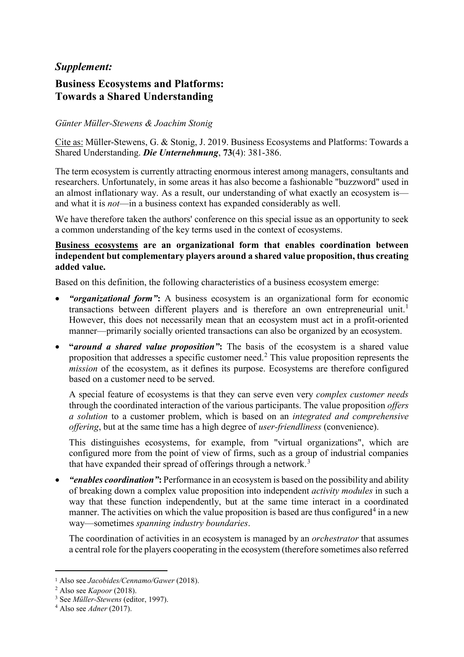## *Supplement:*

# **Business Ecosystems and Platforms: Towards a Shared Understanding**

### *Günter Müller-Stewens & Joachim Stonig*

Cite as: Müller-Stewens, G. & Stonig, J. 2019. Business Ecosystems and Platforms: Towards a Shared Understanding. *Die Unternehmung*, **73**(4): 381-386.

The term ecosystem is currently attracting enormous interest among managers, consultants and researchers. Unfortunately, in some areas it has also become a fashionable "buzzword" used in an almost inflationary way. As a result, our understanding of what exactly an ecosystem is and what it is *not*—in a business context has expanded considerably as well.

We have therefore taken the authors' conference on this special issue as an opportunity to seek a common understanding of the key terms used in the context of ecosystems.

### **Business ecosystems are an organizational form that enables coordination between independent but complementary players around a shared value proposition, thus creating added value.**

Based on this definition, the following characteristics of a business ecosystem emerge:

- *"organizational form"***:** A business ecosystem is an organizational form for economic transactions between different players and is therefore an own entrepreneurial unit.<sup>[1](#page-0-0)</sup> However, this does not necessarily mean that an ecosystem must act in a profit-oriented manner—primarily socially oriented transactions can also be organized by an ecosystem.
- **"***around a shared value proposition"***:** The basis of the ecosystem is a shared value proposition that addresses a specific customer need.[2](#page-0-1) This value proposition represents the *mission* of the ecosystem, as it defines its purpose. Ecosystems are therefore configured based on a customer need to be served.

A special feature of ecosystems is that they can serve even very *complex customer needs* through the coordinated interaction of the various participants. The value proposition *offers a solution* to a customer problem, which is based on an *integrated and comprehensive offering*, but at the same time has a high degree of *user-friendliness* (convenience).

This distinguishes ecosystems, for example, from "virtual organizations", which are configured more from the point of view of firms, such as a group of industrial companies that have expanded their spread of offerings through a network.<sup>[3](#page-0-2)</sup>

• *"enables coordination"***:** Performance in an ecosystem is based on the possibility and ability of breaking down a complex value proposition into independent *activity modules* in such a way that these function independently, but at the same time interact in a coordinated manner. The activities on which the value proposition is based are thus configured<sup>[4](#page-0-3)</sup> in a new way—sometimes *spanning industry boundaries*.

The coordination of activities in an ecosystem is managed by an *orchestrator* that assumes a central role for the players cooperating in the ecosystem (therefore sometimes also referred

 $\overline{a}$ 

<span id="page-0-0"></span><sup>1</sup> Also see *Jacobides/Cennamo/Gawer* (2018).

<span id="page-0-1"></span><sup>2</sup> Also see *Kapoor* (2018).

<span id="page-0-2"></span><sup>3</sup> See *Müller-Stewens* (editor, 1997).

<span id="page-0-3"></span><sup>4</sup> Also see *Adner* (2017).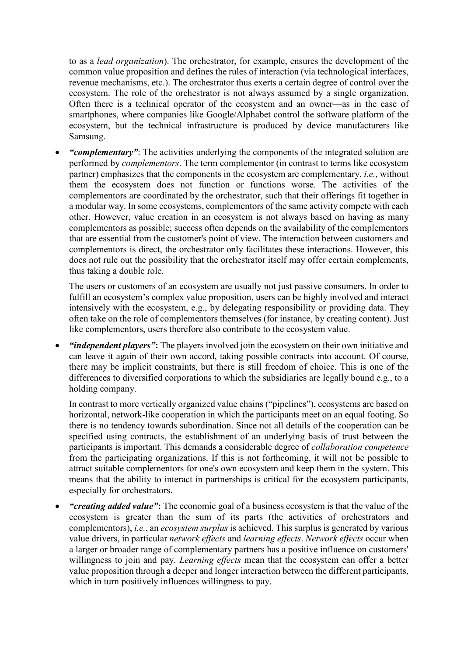to as a *lead organization*). The orchestrator, for example, ensures the development of the common value proposition and defines the rules of interaction (via technological interfaces, revenue mechanisms, etc.). The orchestrator thus exerts a certain degree of control over the ecosystem. The role of the orchestrator is not always assumed by a single organization. Often there is a technical operator of the ecosystem and an owner—as in the case of smartphones, where companies like Google/Alphabet control the software platform of the ecosystem, but the technical infrastructure is produced by device manufacturers like Samsung.

• *"complementary"*: The activities underlying the components of the integrated solution are performed by *complementors*. The term complementor (in contrast to terms like ecosystem partner) emphasizes that the components in the ecosystem are complementary, *i.e.*, without them the ecosystem does not function or functions worse. The activities of the complementors are coordinated by the orchestrator, such that their offerings fit together in a modular way. In some ecosystems, complementors of the same activity compete with each other. However, value creation in an ecosystem is not always based on having as many complementors as possible; success often depends on the availability of the complementors that are essential from the customer's point of view. The interaction between customers and complementors is direct, the orchestrator only facilitates these interactions. However, this does not rule out the possibility that the orchestrator itself may offer certain complements, thus taking a double role.

The users or customers of an ecosystem are usually not just passive consumers. In order to fulfill an ecosystem's complex value proposition, users can be highly involved and interact intensively with the ecosystem, e.g., by delegating responsibility or providing data. They often take on the role of complementors themselves (for instance, by creating content). Just like complementors, users therefore also contribute to the ecosystem value.

• *"independent players"***:** The players involved join the ecosystem on their own initiative and can leave it again of their own accord, taking possible contracts into account. Of course, there may be implicit constraints, but there is still freedom of choice. This is one of the differences to diversified corporations to which the subsidiaries are legally bound e.g., to a holding company.

In contrast to more vertically organized value chains ("pipelines"), ecosystems are based on horizontal, network-like cooperation in which the participants meet on an equal footing. So there is no tendency towards subordination. Since not all details of the cooperation can be specified using contracts, the establishment of an underlying basis of trust between the participants is important. This demands a considerable degree of *collaboration competence* from the participating organizations. If this is not forthcoming, it will not be possible to attract suitable complementors for one's own ecosystem and keep them in the system. This means that the ability to interact in partnerships is critical for the ecosystem participants, especially for orchestrators.

• *"creating added value"***:** The economic goal of a business ecosystem is that the value of the ecosystem is greater than the sum of its parts (the activities of orchestrators and complementors), *i.e.*, an *ecosystem surplus* is achieved. This surplus is generated by various value drivers, in particular *network effects* and *learning effects*. *Network effects* occur when a larger or broader range of complementary partners has a positive influence on customers' willingness to join and pay. *Learning effects* mean that the ecosystem can offer a better value proposition through a deeper and longer interaction between the different participants, which in turn positively influences willingness to pay.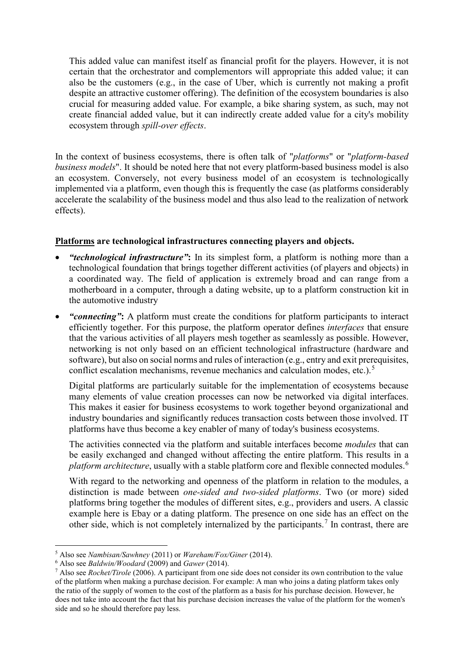This added value can manifest itself as financial profit for the players. However, it is not certain that the orchestrator and complementors will appropriate this added value; it can also be the customers (e.g., in the case of Uber, which is currently not making a profit despite an attractive customer offering). The definition of the ecosystem boundaries is also crucial for measuring added value. For example, a bike sharing system, as such, may not create financial added value, but it can indirectly create added value for a city's mobility ecosystem through *spill-over effects*.

In the context of business ecosystems, there is often talk of "*platforms*" or "*platform-based business models*". It should be noted here that not every platform-based business model is also an ecosystem. Conversely, not every business model of an ecosystem is technologically implemented via a platform, even though this is frequently the case (as platforms considerably accelerate the scalability of the business model and thus also lead to the realization of network effects).

### **Platforms are technological infrastructures connecting players and objects.**

- *"technological infrastructure"***:** In its simplest form, a platform is nothing more than a technological foundation that brings together different activities (of players and objects) in a coordinated way. The field of application is extremely broad and can range from a motherboard in a computer, through a dating website, up to a platform construction kit in the automotive industry
- *"connecting"***:** A platform must create the conditions for platform participants to interact efficiently together. For this purpose, the platform operator defines *interfaces* that ensure that the various activities of all players mesh together as seamlessly as possible. However, networking is not only based on an efficient technological infrastructure (hardware and software), but also on social norms and rules of interaction (e.g., entry and exit prerequisites, conflict escalation mechanisms, revenue mechanics and calculation modes, etc.).<sup>[5](#page-2-0)</sup>

Digital platforms are particularly suitable for the implementation of ecosystems because many elements of value creation processes can now be networked via digital interfaces. This makes it easier for business ecosystems to work together beyond organizational and industry boundaries and significantly reduces transaction costs between those involved. IT platforms have thus become a key enabler of many of today's business ecosystems.

The activities connected via the platform and suitable interfaces become *modules* that can be easily exchanged and changed without affecting the entire platform. This results in a *platform architecture*, usually with a stable platform core and flexible connected modules.<sup>[6](#page-2-1)</sup>

With regard to the networking and openness of the platform in relation to the modules, a distinction is made between *one-sided and two-sided platforms*. Two (or more) sided platforms bring together the modules of different sites, e.g., providers and users. A classic example here is Ebay or a dating platform. The presence on one side has an effect on the other side, which is not completely internalized by the participants.<sup>[7](#page-2-2)</sup> In contrast, there are

l

<span id="page-2-0"></span><sup>5</sup> Also see *Nambisan/Sawhney* (2011) or *Wareham/Fox/Giner* (2014).

<span id="page-2-1"></span><sup>6</sup> Also see *Baldwin/Woodard* (2009) and *Gawer* (2014).

<span id="page-2-2"></span><sup>7</sup> Also see *Rochet/Tirole* (2006). A participant from one side does not consider its own contribution to the value of the platform when making a purchase decision. For example: A man who joins a dating platform takes only the ratio of the supply of women to the cost of the platform as a basis for his purchase decision. However, he does not take into account the fact that his purchase decision increases the value of the platform for the women's side and so he should therefore pay less.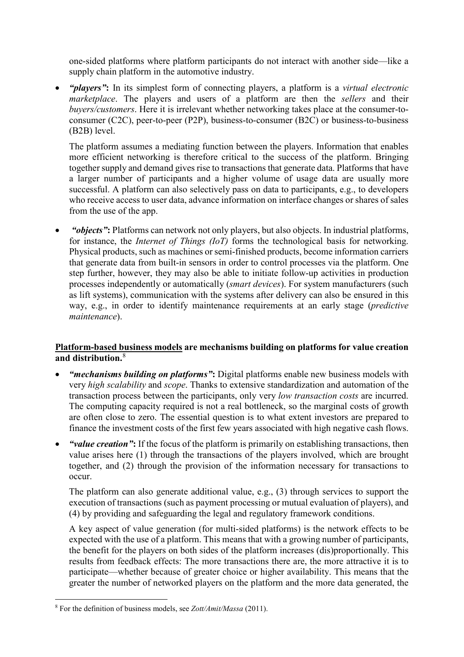one-sided platforms where platform participants do not interact with another side—like a supply chain platform in the automotive industry.

• *"players"***:** In its simplest form of connecting players, a platform is a *virtual electronic marketplace*. The players and users of a platform are then the *sellers* and their *buyers/customers*. Here it is irrelevant whether networking takes place at the consumer-toconsumer (C2C), peer-to-peer (P2P), business-to-consumer (B2C) or business-to-business (B2B) level.

The platform assumes a mediating function between the players. Information that enables more efficient networking is therefore critical to the success of the platform. Bringing together supply and demand gives rise to transactions that generate data. Platforms that have a larger number of participants and a higher volume of usage data are usually more successful. A platform can also selectively pass on data to participants, e.g., to developers who receive access to user data, advance information on interface changes or shares of sales from the use of the app.

• *"objects"***:** Platforms can network not only players, but also objects. In industrial platforms, for instance, the *Internet of Things (IoT)* forms the technological basis for networking. Physical products, such as machines or semi-finished products, become information carriers that generate data from built-in sensors in order to control processes via the platform. One step further, however, they may also be able to initiate follow-up activities in production processes independently or automatically (*smart devices*). For system manufacturers (such as lift systems), communication with the systems after delivery can also be ensured in this way, e.g., in order to identify maintenance requirements at an early stage (*predictive maintenance*).

### **Platform-based business models are mechanisms building on platforms for value creation and distribution.**[8](#page-3-0)

- *"mechanisms building on platforms"***:** Digital platforms enable new business models with very *high scalability* and *scope*. Thanks to extensive standardization and automation of the transaction process between the participants, only very *low transaction costs* are incurred. The computing capacity required is not a real bottleneck, so the marginal costs of growth are often close to zero. The essential question is to what extent investors are prepared to finance the investment costs of the first few years associated with high negative cash flows.
- *"value creation"***:** If the focus of the platform is primarily on establishing transactions, then value arises here (1) through the transactions of the players involved, which are brought together, and (2) through the provision of the information necessary for transactions to occur.

The platform can also generate additional value, e.g., (3) through services to support the execution of transactions (such as payment processing or mutual evaluation of players), and (4) by providing and safeguarding the legal and regulatory framework conditions.

A key aspect of value generation (for multi-sided platforms) is the network effects to be expected with the use of a platform. This means that with a growing number of participants, the benefit for the players on both sides of the platform increases (dis)proportionally. This results from feedback effects: The more transactions there are, the more attractive it is to participate—whether because of greater choice or higher availability. This means that the greater the number of networked players on the platform and the more data generated, the

l

<span id="page-3-0"></span><sup>8</sup> For the definition of business models, see *Zott/Amit/Massa* (2011).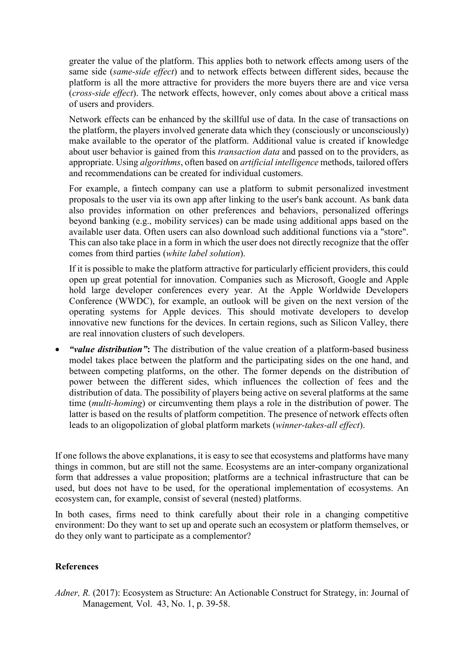greater the value of the platform. This applies both to network effects among users of the same side (*same-side effect*) and to network effects between different sides, because the platform is all the more attractive for providers the more buyers there are and vice versa (*cross-side effect*). The network effects, however, only comes about above a critical mass of users and providers.

Network effects can be enhanced by the skillful use of data. In the case of transactions on the platform, the players involved generate data which they (consciously or unconsciously) make available to the operator of the platform. Additional value is created if knowledge about user behavior is gained from this *transaction data* and passed on to the providers, as appropriate. Using *algorithms*, often based on *artificial intelligence* methods, tailored offers and recommendations can be created for individual customers.

For example, a fintech company can use a platform to submit personalized investment proposals to the user via its own app after linking to the user's bank account. As bank data also provides information on other preferences and behaviors, personalized offerings beyond banking (e.g., mobility services) can be made using additional apps based on the available user data. Often users can also download such additional functions via a "store". This can also take place in a form in which the user does not directly recognize that the offer comes from third parties (*white label solution*).

If it is possible to make the platform attractive for particularly efficient providers, this could open up great potential for innovation. Companies such as Microsoft, Google and Apple hold large developer conferences every year. At the Apple Worldwide Developers Conference (WWDC), for example, an outlook will be given on the next [version of the](https://www.nau.ch/news/games/apple-verargert-mit-update-seine-nutzer-65279078)  [operating systems](https://www.nau.ch/news/games/apple-verargert-mit-update-seine-nutzer-65279078) for Apple devices. This should motivate developers to develop innovative new functions for the devices. In certain regions, such as Silicon Valley, there are real innovation clusters of such developers.

• *"value distribution"***:** The distribution of the value creation of a platform-based business model takes place between the platform and the participating sides on the one hand, and between competing platforms, on the other. The former depends on the distribution of power between the different sides, which influences the collection of fees and the distribution of data. The possibility of players being active on several platforms at the same time (*multi-homing*) or circumventing them plays a role in the distribution of power. The latter is based on the results of platform competition. The presence of network effects often leads to an oligopolization of global platform markets (*winner-takes-all effect*).

If one follows the above explanations, it is easy to see that ecosystems and platforms have many things in common, but are still not the same. Ecosystems are an inter-company organizational form that addresses a value proposition; platforms are a technical infrastructure that can be used, but does not have to be used, for the operational implementation of ecosystems. An ecosystem can, for example, consist of several (nested) platforms.

In both cases, firms need to think carefully about their role in a changing competitive environment: Do they want to set up and operate such an ecosystem or platform themselves, or do they only want to participate as a complementor?

#### **References**

*Adner, R.* (2017): Ecosystem as Structure: An Actionable Construct for Strategy, in: Journal of Management*,* Vol. 43, No. 1, p. 39-58.